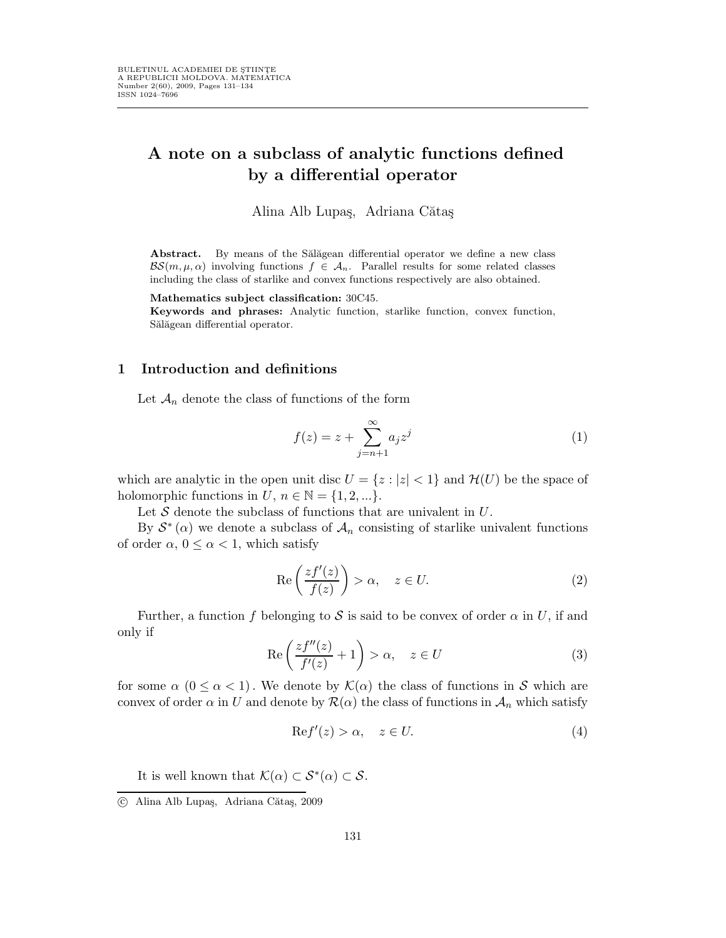## A note on a subclass of analytic functions defined by a differential operator

Alina Alb Lupaş, Adriana Cătaş

Abstract. By means of the Sălăgean differential operator we define a new class  $BS(m, \mu, \alpha)$  involving functions  $f \in \mathcal{A}_n$ . Parallel results for some related classes including the class of starlike and convex functions respectively are also obtained.

Mathematics subject classification: 30C45.

Keywords and phrases: Analytic function, starlike function, convex function, Sălăgean differential operator.

## 1 Introduction and definitions

Let  $\mathcal{A}_n$  denote the class of functions of the form

$$
f(z) = z + \sum_{j=n+1}^{\infty} a_j z^j
$$
 (1)

which are analytic in the open unit disc  $U = \{z : |z| < 1\}$  and  $\mathcal{H}(U)$  be the space of holomorphic functions in  $U, n \in \mathbb{N} = \{1, 2, ...\}.$ 

Let  $S$  denote the subclass of functions that are univalent in  $U$ .

By  $S^*(\alpha)$  we denote a subclass of  $\mathcal{A}_n$  consisting of starlike univalent functions of order  $\alpha$ ,  $0 \leq \alpha < 1$ , which satisfy

$$
\operatorname{Re}\left(\frac{zf'(z)}{f(z)}\right) > \alpha, \quad z \in U. \tag{2}
$$

Further, a function f belonging to S is said to be convex of order  $\alpha$  in U, if and only if

$$
\operatorname{Re}\left(\frac{zf''(z)}{f'(z)}+1\right) > \alpha, \quad z \in U \tag{3}
$$

for some  $\alpha$  ( $0 \leq \alpha < 1$ ). We denote by  $\mathcal{K}(\alpha)$  the class of functions in S which are convex of order  $\alpha$  in U and denote by  $\mathcal{R}(\alpha)$  the class of functions in  $\mathcal{A}_n$  which satisfy

$$
Ref'(z) > \alpha, \quad z \in U.
$$
 (4)

It is well known that  $\mathcal{K}(\alpha) \subset \mathcal{S}^*(\alpha) \subset \mathcal{S}$ .

c Alina Alb Lupa¸s, Adriana C˘ata¸s, 2009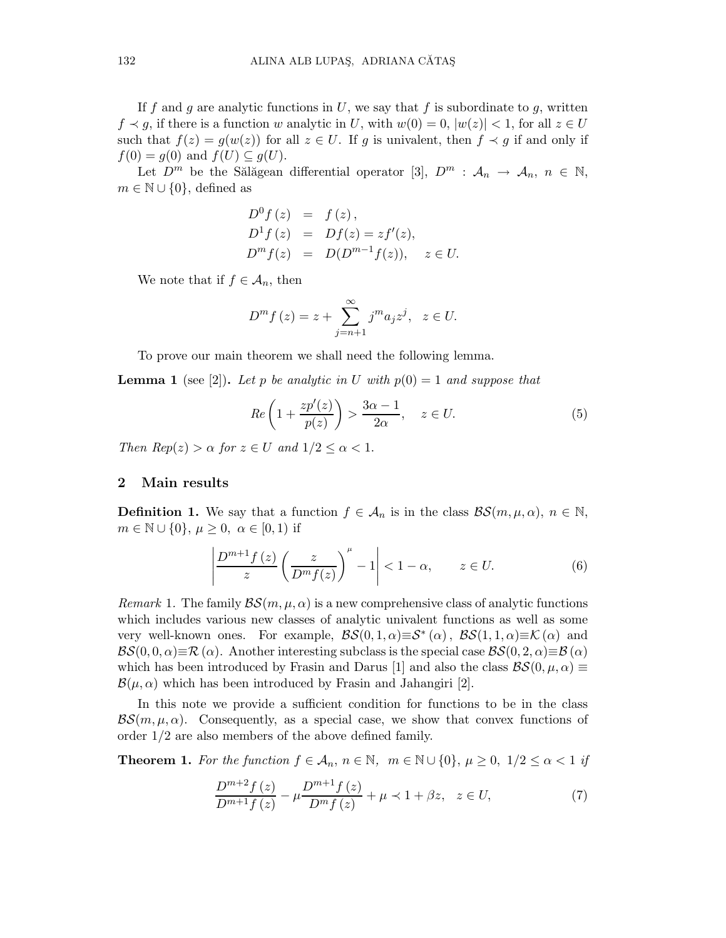If f and g are analytic functions in U, we say that f is subordinate to g, written  $f \prec g$ , if there is a function w analytic in U, with  $w(0) = 0$ ,  $|w(z)| < 1$ , for all  $z \in U$ such that  $f(z) = g(w(z))$  for all  $z \in U$ . If g is univalent, then  $f \prec g$  if and only if  $f(0) = g(0)$  and  $f(U) \subseteq g(U)$ .

Let  $D^m$  be the Salağean differential operator [3],  $D^m$  :  $\mathcal{A}_n \to \mathcal{A}_n$ ,  $n \in \mathbb{N}$ ,  $m \in \mathbb{N} \cup \{0\}$ , defined as

$$
D^{0} f(z) = f(z),
$$
  
\n
$$
D^{1} f(z) = Df(z) = zf'(z),
$$
  
\n
$$
D^{m} f(z) = D(D^{m-1} f(z)), \quad z \in U.
$$

We note that if  $f \in \mathcal{A}_n$ , then

$$
D^{m} f(z) = z + \sum_{j=n+1}^{\infty} j^{m} a_{j} z^{j}, \quad z \in U.
$$

To prove our main theorem we shall need the following lemma.

**Lemma 1** (see [2]). Let p be analytic in U with  $p(0) = 1$  and suppose that

$$
Re\left(1+\frac{zp'(z)}{p(z)}\right) > \frac{3\alpha-1}{2\alpha}, \quad z \in U. \tag{5}
$$

Then  $Rep(z) > \alpha$  for  $z \in U$  and  $1/2 \leq \alpha < 1$ .

## 2 Main results

**Definition 1.** We say that a function  $f \in A_n$  is in the class  $\mathcal{BS}(m,\mu,\alpha), n \in \mathbb{N}$ ,  $m \in \mathbb{N} \cup \{0\}, \mu \geq 0, \alpha \in [0,1)$  if

$$
\left|\frac{D^{m+1}f(z)}{z}\left(\frac{z}{D^m f(z)}\right)^{\mu} - 1\right| < 1 - \alpha, \qquad z \in U. \tag{6}
$$

Remark 1. The family  $\mathcal{BS}(m,\mu,\alpha)$  is a new comprehensive class of analytic functions which includes various new classes of analytic univalent functions as well as some very well-known ones. For example,  $\mathcal{BS}(0,1,\alpha) \equiv S^*(\alpha)$ ,  $\mathcal{BS}(1,1,\alpha) \equiv \mathcal{K}(\alpha)$  and  $BS(0, 0, \alpha) \equiv \mathcal{R}(\alpha)$ . Another interesting subclass is the special case  $BS(0, 2, \alpha) \equiv B(\alpha)$ which has been introduced by Frasin and Darus [1] and also the class  $\mathcal{BS}(0, \mu, \alpha) \equiv$  $\mathcal{B}(\mu,\alpha)$  which has been introduced by Frasin and Jahangiri [2].

In this note we provide a sufficient condition for functions to be in the class  $\mathcal{BS}(m,\mu,\alpha)$ . Consequently, as a special case, we show that convex functions of order 1/2 are also members of the above defined family.

**Theorem 1.** For the function  $f \in A_n$ ,  $n \in \mathbb{N}$ ,  $m \in \mathbb{N} \cup \{0\}$ ,  $\mu \geq 0$ ,  $1/2 \leq \alpha < 1$  if

$$
\frac{D^{m+2}f(z)}{D^{m+1}f(z)} - \mu \frac{D^{m+1}f(z)}{D^m f(z)} + \mu \prec 1 + \beta z, \quad z \in U,
$$
\n(7)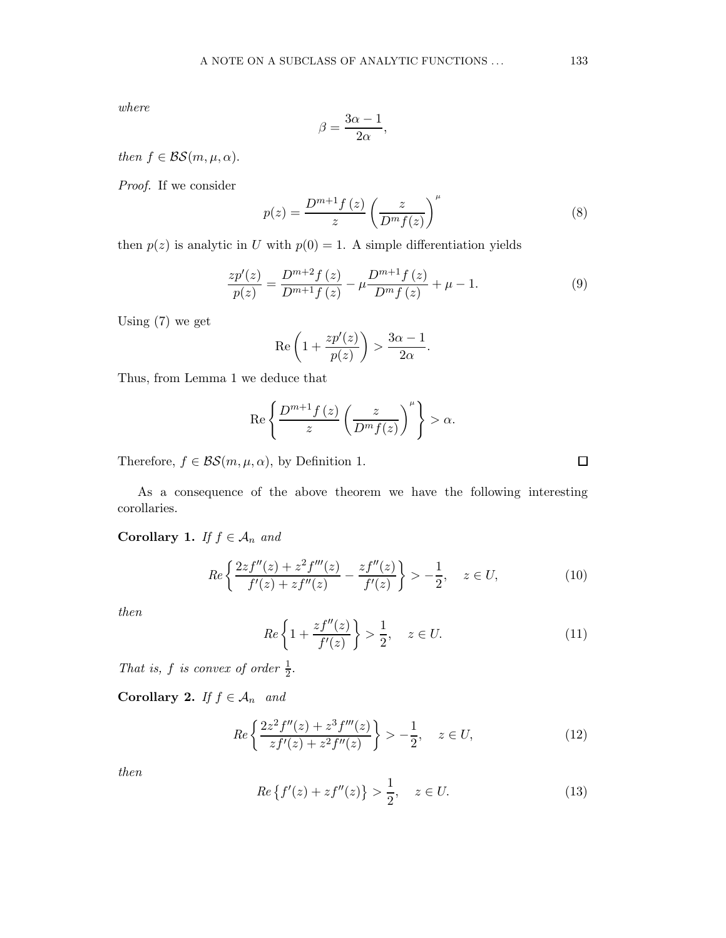where

$$
\beta = \frac{3\alpha - 1}{2\alpha},
$$

then  $f \in \mathcal{BS}(m, \mu, \alpha)$ .

Proof. If we consider

$$
p(z) = \frac{D^{m+1}f(z)}{z} \left(\frac{z}{D^m f(z)}\right)^{\mu}
$$
 (8)

then  $p(z)$  is analytic in U with  $p(0) = 1$ . A simple differentiation yields

$$
\frac{zp'(z)}{p(z)} = \frac{D^{m+2}f(z)}{D^{m+1}f(z)} - \mu \frac{D^{m+1}f(z)}{D^m f(z)} + \mu - 1.
$$
\n(9)

Using (7) we get

$$
\operatorname{Re}\left(1+\frac{zp'(z)}{p(z)}\right) > \frac{3\alpha-1}{2\alpha}.
$$

Thus, from Lemma 1 we deduce that

$$
\operatorname{Re}\left\{\frac{D^{m+1}f(z)}{z}\left(\frac{z}{D^m f(z)}\right)^{\mu}\right\} > \alpha.
$$

Therefore,  $f \in \mathcal{BS}(m, \mu, \alpha)$ , by Definition 1.

As a consequence of the above theorem we have the following interesting corollaries.

Corollary 1. If  $f \in A_n$  and

$$
Re\left\{\frac{2zf''(z)+z^2f'''(z)}{f'(z)+zf''(z)}-\frac{zf''(z)}{f'(z)}\right\} > -\frac{1}{2}, \quad z \in U,\tag{10}
$$

then

$$
Re\left\{1+\frac{zf''(z)}{f'(z)}\right\} > \frac{1}{2}, \quad z \in U. \tag{11}
$$

That is, f is convex of order  $\frac{1}{2}$ .

Corollary 2. If  $f \in A_n$  and

$$
Re\left\{\frac{2z^{2}f''(z)+z^{3}f'''(z)}{zf'(z)+z^{2}f''(z)}\right\} > -\frac{1}{2}, \quad z \in U,
$$
\n(12)

then

$$
Re\{f'(z) + zf''(z)\} > \frac{1}{2}, \quad z \in U.
$$
\n(13)

 $\Box$